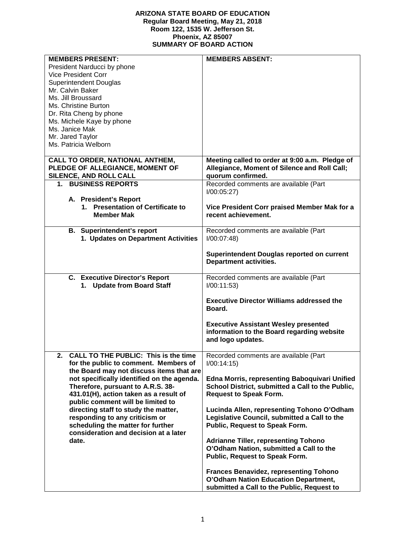| <b>MEMBERS PRESENT:</b>                           | <b>MEMBERS ABSENT:</b>                           |
|---------------------------------------------------|--------------------------------------------------|
| President Narducci by phone                       |                                                  |
| <b>Vice President Corr</b>                        |                                                  |
| Superintendent Douglas                            |                                                  |
|                                                   |                                                  |
| Mr. Calvin Baker                                  |                                                  |
| Ms. Jill Broussard                                |                                                  |
| Ms. Christine Burton                              |                                                  |
| Dr. Rita Cheng by phone                           |                                                  |
| Ms. Michele Kaye by phone                         |                                                  |
| Ms. Janice Mak                                    |                                                  |
| Mr. Jared Taylor                                  |                                                  |
| Ms. Patricia Welborn                              |                                                  |
|                                                   |                                                  |
| CALL TO ORDER, NATIONAL ANTHEM,                   | Meeting called to order at 9:00 a.m. Pledge of   |
| PLEDGE OF ALLEGIANCE, MOMENT OF                   | Allegiance, Moment of Silence and Roll Call;     |
| SILENCE, AND ROLL CALL                            | quorum confirmed.                                |
| 1. BUSINESS REPORTS                               | Recorded comments are available (Part            |
|                                                   | I/00:05:27                                       |
| A. President's Report                             |                                                  |
| 1. Presentation of Certificate to                 | Vice President Corr praised Member Mak for a     |
| <b>Member Mak</b>                                 | recent achievement.                              |
|                                                   |                                                  |
| <b>B.</b> Superintendent's report                 | Recorded comments are available (Part            |
|                                                   |                                                  |
| 1. Updates on Department Activities               | I/00:07:48                                       |
|                                                   |                                                  |
|                                                   | Superintendent Douglas reported on current       |
|                                                   | <b>Department activities.</b>                    |
| <b>C.</b> Executive Director's Report             |                                                  |
|                                                   | Recorded comments are available (Part            |
| 1. Update from Board Staff                        | I/00:11:53                                       |
|                                                   | <b>Executive Director Williams addressed the</b> |
|                                                   | Board.                                           |
|                                                   |                                                  |
|                                                   | <b>Executive Assistant Wesley presented</b>      |
|                                                   | information to the Board regarding website       |
|                                                   | and logo updates.                                |
|                                                   |                                                  |
| <b>CALL TO THE PUBLIC: This is the time</b><br>2. | Recorded comments are available (Part            |
| for the public to comment. Members of             | I/00:14:15                                       |
| the Board may not discuss items that are          |                                                  |
|                                                   |                                                  |
| not specifically identified on the agenda.        | Edna Morris, representing Baboquivari Unified    |
| Therefore, pursuant to A.R.S. 38-                 | School District, submitted a Call to the Public, |
| 431.01(H), action taken as a result of            | <b>Request to Speak Form.</b>                    |
| public comment will be limited to                 |                                                  |
| directing staff to study the matter,              | Lucinda Allen, representing Tohono O'Odham       |
| responding to any criticism or                    | Legislative Council, submitted a Call to the     |
| scheduling the matter for further                 | Public, Request to Speak Form.                   |
| consideration and decision at a later             |                                                  |
| date.                                             | <b>Adrianne Tiller, representing Tohono</b>      |
|                                                   | O'Odham Nation, submitted a Call to the          |
|                                                   | Public, Request to Speak Form.                   |
|                                                   |                                                  |
|                                                   | <b>Frances Benavidez, representing Tohono</b>    |
|                                                   | O'Odham Nation Education Department,             |
|                                                   | submitted a Call to the Public, Request to       |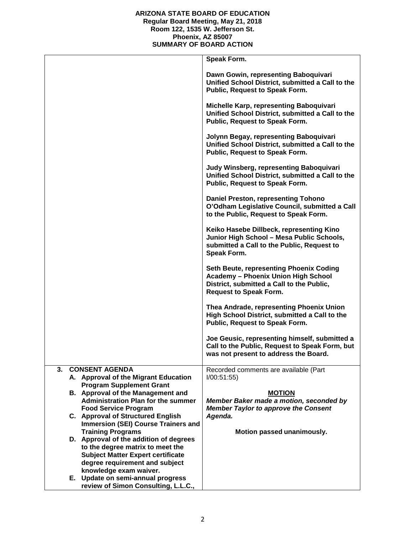|                                                                          | Speak Form.                                                                                                                                                                |
|--------------------------------------------------------------------------|----------------------------------------------------------------------------------------------------------------------------------------------------------------------------|
|                                                                          | Dawn Gowin, representing Baboquivari<br>Unified School District, submitted a Call to the<br>Public, Request to Speak Form.                                                 |
|                                                                          | Michelle Karp, representing Baboquivari<br>Unified School District, submitted a Call to the<br>Public, Request to Speak Form.                                              |
|                                                                          | Jolynn Begay, representing Baboquivari<br>Unified School District, submitted a Call to the<br>Public, Request to Speak Form.                                               |
|                                                                          | Judy Winsberg, representing Baboquivari<br>Unified School District, submitted a Call to the<br>Public, Request to Speak Form.                                              |
|                                                                          | Daniel Preston, representing Tohono<br>O'Odham Legislative Council, submitted a Call<br>to the Public, Request to Speak Form.                                              |
|                                                                          | Keiko Hasebe Dillbeck, representing Kino<br>Junior High School - Mesa Public Schools,<br>submitted a Call to the Public, Request to<br>Speak Form.                         |
|                                                                          | <b>Seth Beute, representing Phoenix Coding</b><br><b>Academy - Phoenix Union High School</b><br>District, submitted a Call to the Public,<br><b>Request to Speak Form.</b> |
|                                                                          | Thea Andrade, representing Phoenix Union<br>High School District, submitted a Call to the<br>Public, Request to Speak Form.                                                |
|                                                                          | Joe Geusic, representing himself, submitted a<br>Call to the Public, Request to Speak Form, but<br>was not present to address the Board.                                   |
| <b>CONSENT AGENDA</b><br>3.<br>A. Approval of the Migrant Education      | Recorded comments are available (Part<br>I/00:51:55                                                                                                                        |
| <b>Program Supplement Grant</b>                                          |                                                                                                                                                                            |
| B. Approval of the Management and                                        | <b>MOTION</b>                                                                                                                                                              |
| <b>Administration Plan for the summer</b>                                | Member Baker made a motion, seconded by                                                                                                                                    |
| <b>Food Service Program</b>                                              | <b>Member Taylor to approve the Consent</b>                                                                                                                                |
| C. Approval of Structured English<br>Immersion (SEI) Course Trainers and | Agenda.                                                                                                                                                                    |
| <b>Training Programs</b>                                                 | Motion passed unanimously.                                                                                                                                                 |
| D. Approval of the addition of degrees                                   |                                                                                                                                                                            |
| to the degree matrix to meet the                                         |                                                                                                                                                                            |
| <b>Subject Matter Expert certificate</b>                                 |                                                                                                                                                                            |
| degree requirement and subject                                           |                                                                                                                                                                            |
| knowledge exam waiver.                                                   |                                                                                                                                                                            |
| E. Update on semi-annual progress<br>review of Simon Consulting, L.L.C., |                                                                                                                                                                            |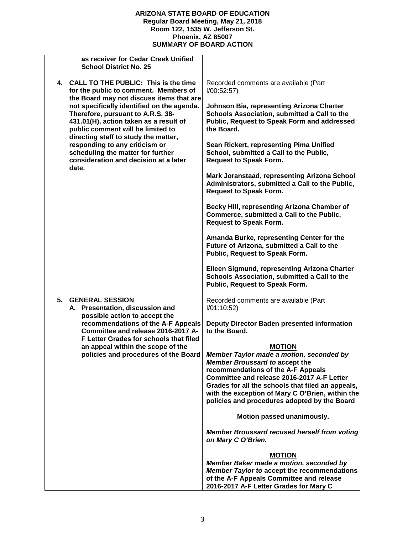| as receiver for Cedar Creek Unified<br><b>School District No. 25</b>                                                                                                                                                                                                                                                                                                                                                                                            |                                                                                                                                                                                                                                                                                                                                                                                                                                                                                                                                                                                                                                                                                                                                                                                                                                                                      |
|-----------------------------------------------------------------------------------------------------------------------------------------------------------------------------------------------------------------------------------------------------------------------------------------------------------------------------------------------------------------------------------------------------------------------------------------------------------------|----------------------------------------------------------------------------------------------------------------------------------------------------------------------------------------------------------------------------------------------------------------------------------------------------------------------------------------------------------------------------------------------------------------------------------------------------------------------------------------------------------------------------------------------------------------------------------------------------------------------------------------------------------------------------------------------------------------------------------------------------------------------------------------------------------------------------------------------------------------------|
| 4. CALL TO THE PUBLIC: This is the time<br>for the public to comment. Members of<br>the Board may not discuss items that are<br>not specifically identified on the agenda.<br>Therefore, pursuant to A.R.S. 38-<br>431.01(H), action taken as a result of<br>public comment will be limited to<br>directing staff to study the matter,<br>responding to any criticism or<br>scheduling the matter for further<br>consideration and decision at a later<br>date. | Recorded comments are available (Part<br>I/00:52:57<br>Johnson Bia, representing Arizona Charter<br>Schools Association, submitted a Call to the<br>Public, Request to Speak Form and addressed<br>the Board.<br>Sean Rickert, representing Pima Unified<br>School, submitted a Call to the Public,<br><b>Request to Speak Form.</b><br>Mark Joranstaad, representing Arizona School<br>Administrators, submitted a Call to the Public,<br><b>Request to Speak Form.</b><br>Becky Hill, representing Arizona Chamber of<br>Commerce, submitted a Call to the Public,<br><b>Request to Speak Form.</b><br>Amanda Burke, representing Center for the<br>Future of Arizona, submitted a Call to the<br>Public, Request to Speak Form.<br>Eileen Sigmund, representing Arizona Charter<br>Schools Association, submitted a Call to the<br>Public, Request to Speak Form. |
| <b>GENERAL SESSION</b><br>5.<br>A. Presentation, discussion and<br>possible action to accept the<br>recommendations of the A-F Appeals<br>Committee and release 2016-2017 A-<br>F Letter Grades for schools that filed<br>an appeal within the scope of the<br>policies and procedures of the Board                                                                                                                                                             | Recorded comments are available (Part<br>I/01:10:52<br>Deputy Director Baden presented information<br>to the Board.<br><b>MOTION</b><br>Member Taylor made a motion, seconded by<br><b>Member Broussard to accept the</b><br>recommendations of the A-F Appeals<br>Committee and release 2016-2017 A-F Letter<br>Grades for all the schools that filed an appeals,<br>with the exception of Mary C O'Brien, within the<br>policies and procedures adopted by the Board<br>Motion passed unanimously.<br><b>Member Broussard recused herself from voting</b><br>on Mary C O'Brien.<br><b>MOTION</b><br>Member Baker made a motion, seconded by<br><b>Member Taylor to accept the recommendations</b><br>of the A-F Appeals Committee and release<br>2016-2017 A-F Letter Grades for Mary C                                                                            |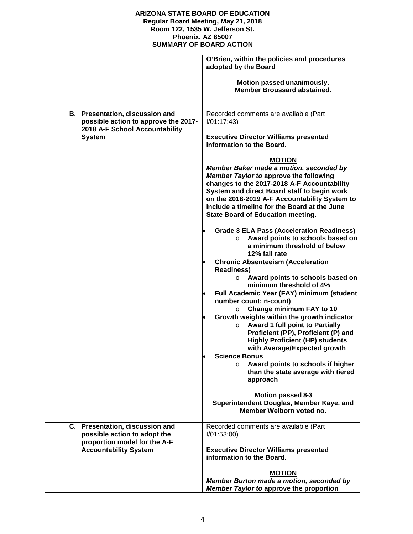|                                                                                                                                   | O'Brien, within the policies and procedures<br>adopted by the Board                                                                                                                                                                                                                                                                                                                                                                                                                                                                                                                                                                                                                                                                                                                                                                                                                                                                                                                                                                                                                                                                                                                                                            |
|-----------------------------------------------------------------------------------------------------------------------------------|--------------------------------------------------------------------------------------------------------------------------------------------------------------------------------------------------------------------------------------------------------------------------------------------------------------------------------------------------------------------------------------------------------------------------------------------------------------------------------------------------------------------------------------------------------------------------------------------------------------------------------------------------------------------------------------------------------------------------------------------------------------------------------------------------------------------------------------------------------------------------------------------------------------------------------------------------------------------------------------------------------------------------------------------------------------------------------------------------------------------------------------------------------------------------------------------------------------------------------|
|                                                                                                                                   | Motion passed unanimously.<br><b>Member Broussard abstained.</b>                                                                                                                                                                                                                                                                                                                                                                                                                                                                                                                                                                                                                                                                                                                                                                                                                                                                                                                                                                                                                                                                                                                                                               |
| <b>B.</b> Presentation, discussion and<br>possible action to approve the 2017-<br>2018 A-F School Accountability<br><b>System</b> | Recorded comments are available (Part<br>I/01:17:43<br><b>Executive Director Williams presented</b><br>information to the Board.<br><b>MOTION</b><br>Member Baker made a motion, seconded by<br><b>Member Taylor to approve the following</b><br>changes to the 2017-2018 A-F Accountability<br>System and direct Board staff to begin work<br>on the 2018-2019 A-F Accountability System to<br>include a timeline for the Board at the June<br><b>State Board of Education meeting.</b><br><b>Grade 3 ELA Pass (Acceleration Readiness)</b><br>o Award points to schools based on<br>a minimum threshold of below<br>12% fail rate<br><b>Chronic Absenteeism (Acceleration</b><br><b>Readiness)</b><br>Award points to schools based on<br>$\circ$<br>minimum threshold of 4%<br>Full Academic Year (FAY) minimum (student<br>number count: n-count)<br>Change minimum FAY to 10<br>$\circ$<br>Growth weights within the growth indicator<br><b>Award 1 full point to Partially</b><br>$\circ$<br>Proficient (PP), Proficient (P) and<br><b>Highly Proficient (HP) students</b><br>with Average/Expected growth<br><b>Science Bonus</b><br>Award points to schools if higher<br>$\circ$<br>than the state average with tiered |
|                                                                                                                                   | approach<br><b>Motion passed 8-3</b><br>Superintendent Douglas, Member Kaye, and<br>Member Welborn voted no.                                                                                                                                                                                                                                                                                                                                                                                                                                                                                                                                                                                                                                                                                                                                                                                                                                                                                                                                                                                                                                                                                                                   |
| C. Presentation, discussion and<br>possible action to adopt the<br>proportion model for the A-F<br><b>Accountability System</b>   | Recorded comments are available (Part<br>I/01:53:00<br><b>Executive Director Williams presented</b><br>information to the Board.                                                                                                                                                                                                                                                                                                                                                                                                                                                                                                                                                                                                                                                                                                                                                                                                                                                                                                                                                                                                                                                                                               |
|                                                                                                                                   | <b>MOTION</b><br>Member Burton made a motion, seconded by<br>Member Taylor to approve the proportion                                                                                                                                                                                                                                                                                                                                                                                                                                                                                                                                                                                                                                                                                                                                                                                                                                                                                                                                                                                                                                                                                                                           |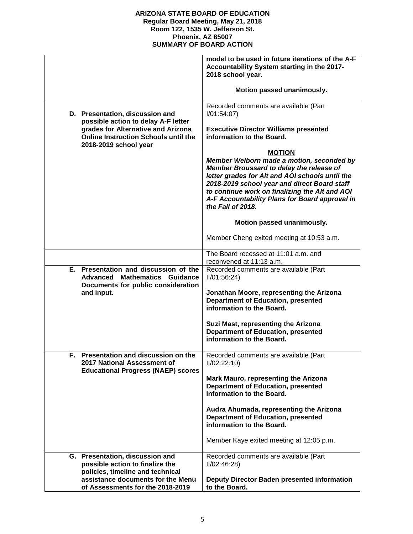|                                                                                                                      | model to be used in future iterations of the A-F<br>Accountability System starting in the 2017-<br>2018 school year.<br>Motion passed unanimously.                                                                                                                                                                                 |
|----------------------------------------------------------------------------------------------------------------------|------------------------------------------------------------------------------------------------------------------------------------------------------------------------------------------------------------------------------------------------------------------------------------------------------------------------------------|
| D. Presentation, discussion and<br>possible action to delay A-F letter<br>grades for Alternative and Arizona         | Recorded comments are available (Part<br>I/01:54:07<br><b>Executive Director Williams presented</b>                                                                                                                                                                                                                                |
| <b>Online Instruction Schools until the</b><br>2018-2019 school year                                                 | information to the Board.                                                                                                                                                                                                                                                                                                          |
|                                                                                                                      | <b>MOTION</b><br>Member Welborn made a motion, seconded by<br>Member Broussard to delay the release of<br>letter grades for Alt and AOI schools until the<br>2018-2019 school year and direct Board staff<br>to continue work on finalizing the Alt and AOI<br>A-F Accountability Plans for Board approval in<br>the Fall of 2018. |
|                                                                                                                      | Motion passed unanimously.                                                                                                                                                                                                                                                                                                         |
|                                                                                                                      | Member Cheng exited meeting at 10:53 a.m.                                                                                                                                                                                                                                                                                          |
|                                                                                                                      | The Board recessed at 11:01 a.m. and<br>reconvened at 11:13 a.m.                                                                                                                                                                                                                                                                   |
| E. Presentation and discussion of the<br><b>Advanced Mathematics Guidance</b><br>Documents for public consideration  | Recorded comments are available (Part<br>II/01:56:24)                                                                                                                                                                                                                                                                              |
| and input.                                                                                                           | Jonathan Moore, representing the Arizona<br><b>Department of Education, presented</b><br>information to the Board.                                                                                                                                                                                                                 |
|                                                                                                                      | Suzi Mast, representing the Arizona<br><b>Department of Education, presented</b><br>information to the Board.                                                                                                                                                                                                                      |
| Presentation and discussion on the<br>F.<br>2017 National Assessment of<br><b>Educational Progress (NAEP) scores</b> | Recorded comments are available (Part<br>II/02:22:10)                                                                                                                                                                                                                                                                              |
|                                                                                                                      | Mark Mauro, representing the Arizona<br><b>Department of Education, presented</b><br>information to the Board.                                                                                                                                                                                                                     |
|                                                                                                                      | Audra Ahumada, representing the Arizona<br><b>Department of Education, presented</b><br>information to the Board.                                                                                                                                                                                                                  |
|                                                                                                                      | Member Kaye exited meeting at 12:05 p.m.                                                                                                                                                                                                                                                                                           |
| G. Presentation, discussion and<br>possible action to finalize the<br>policies, timeline and technical               | Recorded comments are available (Part<br>II/02:46:28)                                                                                                                                                                                                                                                                              |
| assistance documents for the Menu<br>of Assessments for the 2018-2019                                                | Deputy Director Baden presented information<br>to the Board.                                                                                                                                                                                                                                                                       |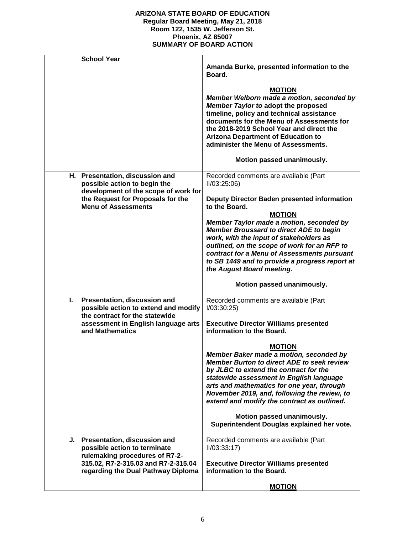| <b>School Year</b>                                                                                                                                                     | Amanda Burke, presented information to the<br>Board.                                                                                                                                                                                                                                                                                                      |
|------------------------------------------------------------------------------------------------------------------------------------------------------------------------|-----------------------------------------------------------------------------------------------------------------------------------------------------------------------------------------------------------------------------------------------------------------------------------------------------------------------------------------------------------|
|                                                                                                                                                                        | <b>MOTION</b><br>Member Welborn made a motion, seconded by<br>Member Taylor to adopt the proposed<br>timeline, policy and technical assistance<br>documents for the Menu of Assessments for<br>the 2018-2019 School Year and direct the<br><b>Arizona Department of Education to</b><br>administer the Menu of Assessments.<br>Motion passed unanimously. |
| H. Presentation, discussion and<br>possible action to begin the<br>development of the scope of work for<br>the Request for Proposals for the                           | Recorded comments are available (Part<br>II/03:25:06<br>Deputy Director Baden presented information                                                                                                                                                                                                                                                       |
| <b>Menu of Assessments</b>                                                                                                                                             | to the Board.<br><b>MOTION</b><br>Member Taylor made a motion, seconded by<br><b>Member Broussard to direct ADE to begin</b><br>work, with the input of stakeholders as<br>outlined, on the scope of work for an RFP to<br>contract for a Menu of Assessments pursuant<br>to SB 1449 and to provide a progress report at<br>the August Board meeting.     |
|                                                                                                                                                                        | Motion passed unanimously.                                                                                                                                                                                                                                                                                                                                |
| I.<br>Presentation, discussion and<br>possible action to extend and modify<br>the contract for the statewide<br>assessment in English language arts<br>and Mathematics | Recorded comments are available (Part<br>1/03:30:25<br><b>Executive Director Williams presented</b><br>information to the Board.                                                                                                                                                                                                                          |
|                                                                                                                                                                        | <b>MOTION</b><br>Member Baker made a motion, seconded by                                                                                                                                                                                                                                                                                                  |
|                                                                                                                                                                        | <b>Member Burton to direct ADE to seek review</b><br>by JLBC to extend the contract for the<br>statewide assessment in English language<br>arts and mathematics for one year, through<br>November 2019, and, following the review, to<br>extend and modify the contract as outlined.                                                                      |
|                                                                                                                                                                        | Motion passed unanimously.<br>Superintendent Douglas explained her vote.                                                                                                                                                                                                                                                                                  |
| J.<br>Presentation, discussion and<br>possible action to terminate                                                                                                     | Recorded comments are available (Part<br>II/03:33:17)                                                                                                                                                                                                                                                                                                     |
| rulemaking procedures of R7-2-<br>315.02, R7-2-315.03 and R7-2-315.04<br>regarding the Dual Pathway Diploma                                                            | <b>Executive Director Williams presented</b><br>information to the Board.                                                                                                                                                                                                                                                                                 |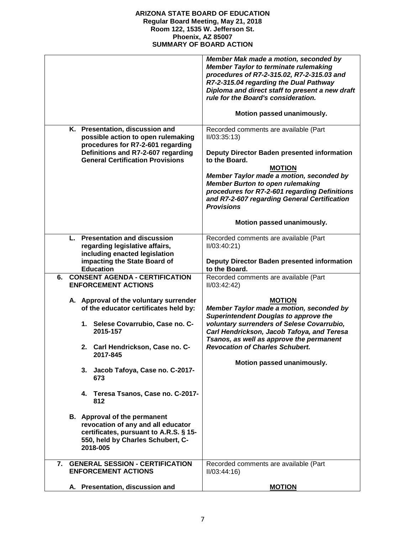|                                                                                                                                                                                             | Member Mak made a motion, seconded by<br><b>Member Taylor to terminate rulemaking</b><br>procedures of R7-2-315.02, R7-2-315.03 and<br>R7-2-315.04 regarding the Dual Pathway<br>Diploma and direct staff to present a new draft<br>rule for the Board's consideration.<br>Motion passed unanimously.                                               |
|---------------------------------------------------------------------------------------------------------------------------------------------------------------------------------------------|-----------------------------------------------------------------------------------------------------------------------------------------------------------------------------------------------------------------------------------------------------------------------------------------------------------------------------------------------------|
|                                                                                                                                                                                             |                                                                                                                                                                                                                                                                                                                                                     |
| K. Presentation, discussion and<br>possible action to open rulemaking<br>procedures for R7-2-601 regarding<br>Definitions and R7-2-607 regarding<br><b>General Certification Provisions</b> | Recorded comments are available (Part<br>II/03:35:13)<br>Deputy Director Baden presented information<br>to the Board.<br><b>MOTION</b><br>Member Taylor made a motion, seconded by<br><b>Member Burton to open rulemaking</b><br>procedures for R7-2-601 regarding Definitions<br>and R7-2-607 regarding General Certification<br><b>Provisions</b> |
|                                                                                                                                                                                             | Motion passed unanimously.                                                                                                                                                                                                                                                                                                                          |
| L. Presentation and discussion<br>regarding legislative affairs,<br>including enacted legislation<br>impacting the State Board of                                                           | Recorded comments are available (Part<br>II/03:40:21)<br>Deputy Director Baden presented information                                                                                                                                                                                                                                                |
| <b>Education</b><br>6.                                                                                                                                                                      | to the Board.                                                                                                                                                                                                                                                                                                                                       |
| <b>CONSENT AGENDA - CERTIFICATION</b><br><b>ENFORCEMENT ACTIONS</b>                                                                                                                         | Recorded comments are available (Part<br>II/03:42:42)                                                                                                                                                                                                                                                                                               |
| A. Approval of the voluntary surrender<br>of the educator certificates held by:                                                                                                             | <b>MOTION</b><br>Member Taylor made a motion, seconded by<br><b>Superintendent Douglas to approve the</b><br>voluntary surrenders of Selese Covarrubio,                                                                                                                                                                                             |
| 1. Selese Covarrubio, Case no. C-<br>2015-157                                                                                                                                               | Carl Hendrickson, Jacob Tafoya, and Teresa<br>Tsanos, as well as approve the permanent                                                                                                                                                                                                                                                              |
| 2. Carl Hendrickson, Case no. C-<br>2017-845                                                                                                                                                | <b>Revocation of Charles Schubert.</b><br>Motion passed unanimously.                                                                                                                                                                                                                                                                                |
| 3. Jacob Tafoya, Case no. C-2017-<br>673                                                                                                                                                    |                                                                                                                                                                                                                                                                                                                                                     |
| 4. Teresa Tsanos, Case no. C-2017-<br>812                                                                                                                                                   |                                                                                                                                                                                                                                                                                                                                                     |
| B. Approval of the permanent<br>revocation of any and all educator<br>certificates, pursuant to A.R.S. § 15-<br>550, held by Charles Schubert, C-<br>2018-005                               |                                                                                                                                                                                                                                                                                                                                                     |
| 7.<br><b>GENERAL SESSION - CERTIFICATION</b><br><b>ENFORCEMENT ACTIONS</b>                                                                                                                  | Recorded comments are available (Part<br>II/03:44:16                                                                                                                                                                                                                                                                                                |
| A. Presentation, discussion and                                                                                                                                                             | <b>MOTION</b>                                                                                                                                                                                                                                                                                                                                       |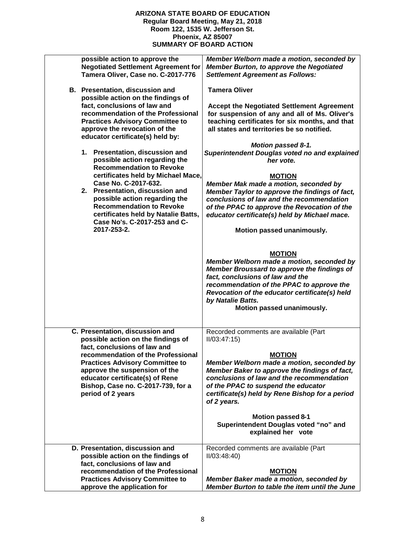| possible action to approve the<br><b>Negotiated Settlement Agreement for</b>                                                                                                                                                                                                                                                                                                                                                                                                                                                                                                                                                        | Member Welborn made a motion, seconded by<br><b>Member Burton, to approve the Negotiated</b>                                                                                                                                                                                                                                                                                                                                                                                                                                                                                                                                                                                                                                                                                                                                                                                                                     |
|-------------------------------------------------------------------------------------------------------------------------------------------------------------------------------------------------------------------------------------------------------------------------------------------------------------------------------------------------------------------------------------------------------------------------------------------------------------------------------------------------------------------------------------------------------------------------------------------------------------------------------------|------------------------------------------------------------------------------------------------------------------------------------------------------------------------------------------------------------------------------------------------------------------------------------------------------------------------------------------------------------------------------------------------------------------------------------------------------------------------------------------------------------------------------------------------------------------------------------------------------------------------------------------------------------------------------------------------------------------------------------------------------------------------------------------------------------------------------------------------------------------------------------------------------------------|
| Tamera Oliver, Case no. C-2017-776                                                                                                                                                                                                                                                                                                                                                                                                                                                                                                                                                                                                  | <b>Settlement Agreement as Follows:</b>                                                                                                                                                                                                                                                                                                                                                                                                                                                                                                                                                                                                                                                                                                                                                                                                                                                                          |
| <b>B.</b> Presentation, discussion and<br>possible action on the findings of<br>fact, conclusions of law and<br>recommendation of the Professional<br><b>Practices Advisory Committee to</b><br>approve the revocation of the<br>educator certificate(s) held by:<br>1. Presentation, discussion and<br>possible action regarding the<br><b>Recommendation to Revoke</b><br>certificates held by Michael Mace,<br>Case No. C-2017-632.<br>2. Presentation, discussion and<br>possible action regarding the<br><b>Recommendation to Revoke</b><br>certificates held by Natalie Batts,<br>Case No's, C-2017-253 and C-<br>2017-253-2. | <b>Tamera Oliver</b><br><b>Accept the Negotiated Settlement Agreement</b><br>for suspension of any and all of Ms. Oliver's<br>teaching certificates for six months, and that<br>all states and territories be so notified.<br><b>Motion passed 8-1.</b><br>Superintendent Douglas voted no and explained<br>her vote.<br><b>MOTION</b><br>Member Mak made a motion, seconded by<br>Member Taylor to approve the findings of fact,<br>conclusions of law and the recommendation<br>of the PPAC to approve the Revocation of the<br>educator certificate(s) held by Michael mace.<br>Motion passed unanimously.<br><b>MOTION</b><br>Member Welborn made a motion, seconded by<br>Member Broussard to approve the findings of<br>fact, conclusions of law and the<br>recommendation of the PPAC to approve the<br>Revocation of the educator certificate(s) held<br>by Natalie Batts.<br>Motion passed unanimously. |
|                                                                                                                                                                                                                                                                                                                                                                                                                                                                                                                                                                                                                                     |                                                                                                                                                                                                                                                                                                                                                                                                                                                                                                                                                                                                                                                                                                                                                                                                                                                                                                                  |
| C. Presentation, discussion and<br>possible action on the findings of<br>fact, conclusions of law and<br>recommendation of the Professional<br><b>Practices Advisory Committee to</b><br>approve the suspension of the<br>educator certificate(s) of Rene<br>Bishop, Case no. C-2017-739, for a<br>period of 2 years                                                                                                                                                                                                                                                                                                                | Recorded comments are available (Part<br>II/03:47:15)<br><b>MOTION</b><br>Member Welborn made a motion, seconded by<br>Member Baker to approve the findings of fact,<br>conclusions of law and the recommendation<br>of the PPAC to suspend the educator<br>certificate(s) held by Rene Bishop for a period<br>of 2 years.<br><b>Motion passed 8-1</b>                                                                                                                                                                                                                                                                                                                                                                                                                                                                                                                                                           |
|                                                                                                                                                                                                                                                                                                                                                                                                                                                                                                                                                                                                                                     | Superintendent Douglas voted "no" and<br>explained her vote                                                                                                                                                                                                                                                                                                                                                                                                                                                                                                                                                                                                                                                                                                                                                                                                                                                      |
| D. Presentation, discussion and<br>possible action on the findings of<br>fact, conclusions of law and                                                                                                                                                                                                                                                                                                                                                                                                                                                                                                                               | Recorded comments are available (Part<br>II/03:48:40)                                                                                                                                                                                                                                                                                                                                                                                                                                                                                                                                                                                                                                                                                                                                                                                                                                                            |
| recommendation of the Professional                                                                                                                                                                                                                                                                                                                                                                                                                                                                                                                                                                                                  | <b>MOTION</b>                                                                                                                                                                                                                                                                                                                                                                                                                                                                                                                                                                                                                                                                                                                                                                                                                                                                                                    |
| <b>Practices Advisory Committee to</b><br>approve the application for                                                                                                                                                                                                                                                                                                                                                                                                                                                                                                                                                               | Member Baker made a motion, seconded by<br>Member Burton to table the item until the June                                                                                                                                                                                                                                                                                                                                                                                                                                                                                                                                                                                                                                                                                                                                                                                                                        |